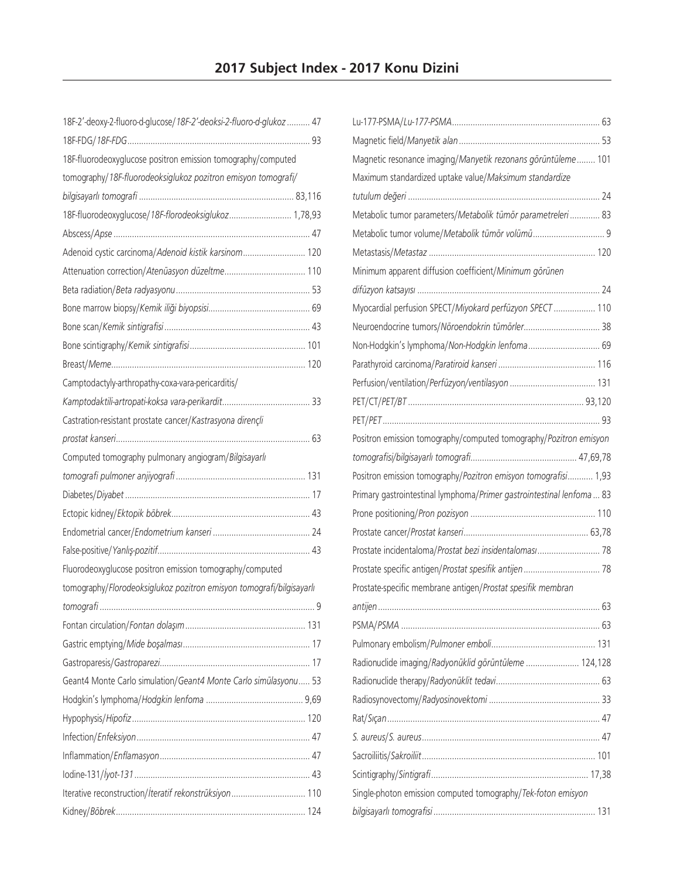| 18F-2'-deoxy-2-fluoro-d-glucose/18F-2'-deoksi-2-fluoro-d-glukoz  47  |  |
|----------------------------------------------------------------------|--|
|                                                                      |  |
| 18F-fluorodeoxyglucose positron emission tomography/computed         |  |
| tomography/18F-fluorodeoksiglukoz pozitron emisyon tomografi/        |  |
|                                                                      |  |
| 18F-fluorodeoxyglucose/18F-florodeoksiglukoz 1,78,93                 |  |
|                                                                      |  |
| Adenoid cystic carcinoma/Adenoid kistik karsinom 120                 |  |
|                                                                      |  |
|                                                                      |  |
|                                                                      |  |
|                                                                      |  |
|                                                                      |  |
|                                                                      |  |
| Camptodactyly-arthropathy-coxa-vara-pericarditis/                    |  |
|                                                                      |  |
| Castration-resistant prostate cancer/Kastrasyona dirençli            |  |
|                                                                      |  |
| Computed tomography pulmonary angiogram/Bilgisayarlı                 |  |
|                                                                      |  |
|                                                                      |  |
|                                                                      |  |
|                                                                      |  |
|                                                                      |  |
| Fluorodeoxyglucose positron emission tomography/computed             |  |
| tomography/Florodeoksiglukoz pozitron emisyon tomografi/bilgisayarlı |  |
|                                                                      |  |
|                                                                      |  |
|                                                                      |  |
|                                                                      |  |
| Geant4 Monte Carlo simulation/Geant4 Monte Carlo simülasyonu 53      |  |
|                                                                      |  |
|                                                                      |  |
|                                                                      |  |
|                                                                      |  |
|                                                                      |  |
| Iterative reconstruction/iteratif rekonstrüksiyon 110                |  |
|                                                                      |  |

| Magnetic resonance imaging/Manyetik rezonans görüntüleme 101<br>Maximum standardized uptake value/Maksimum standardize |  |
|------------------------------------------------------------------------------------------------------------------------|--|
|                                                                                                                        |  |
|                                                                                                                        |  |
|                                                                                                                        |  |
|                                                                                                                        |  |
| Metabolic tumor parameters/Metabolik tümör parametreleri  83                                                           |  |
|                                                                                                                        |  |
|                                                                                                                        |  |
| Minimum apparent diffusion coefficient/Minimum görünen                                                                 |  |
|                                                                                                                        |  |
| Myocardial perfusion SPECT/Miyokard perfüzyon SPECT  110                                                               |  |
| Neuroendocrine tumors/Nöroendokrin tümörler 38                                                                         |  |
| Non-Hodgkin's lymphoma/Non-Hodgkin lenfoma 69                                                                          |  |
|                                                                                                                        |  |
|                                                                                                                        |  |
|                                                                                                                        |  |
|                                                                                                                        |  |
| Positron emission tomography/computed tomography/Pozitron emisyon                                                      |  |
|                                                                                                                        |  |
| Positron emission tomography/Pozitron emisyon tomografisi 1,93                                                         |  |
| Primary gastrointestinal lymphoma/Primer gastrointestinal lenfoma  83                                                  |  |
|                                                                                                                        |  |
|                                                                                                                        |  |
| Prostate incidentaloma/Prostat bezi insidentaloması 78                                                                 |  |
| Prostate specific antigen/Prostat spesifik antijen 78                                                                  |  |
| Prostate-specific membrane antigen/Prostat spesifik membran                                                            |  |
|                                                                                                                        |  |
|                                                                                                                        |  |
|                                                                                                                        |  |
|                                                                                                                        |  |
| Radionuclide imaging/Radyonüklid görüntüleme  124,128                                                                  |  |
|                                                                                                                        |  |
|                                                                                                                        |  |
|                                                                                                                        |  |
|                                                                                                                        |  |
|                                                                                                                        |  |
|                                                                                                                        |  |
| Single-photon emission computed tomography/Tek-foton emisyon                                                           |  |